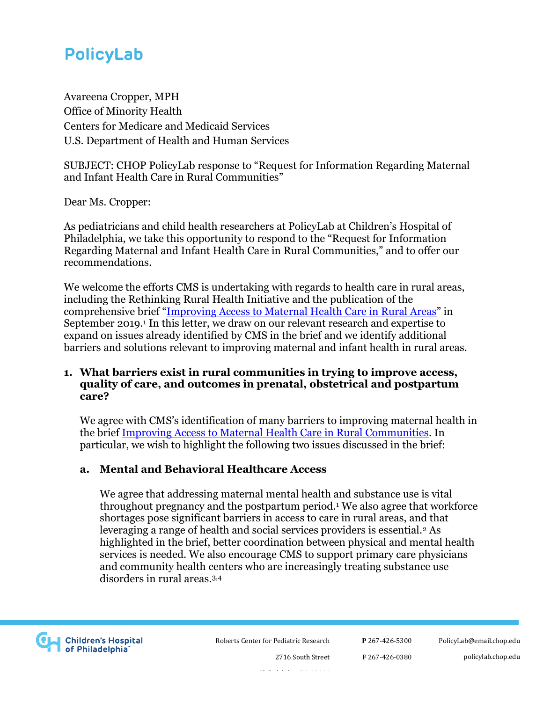Avareena Cropper, MPH Office of Minority Health Centers for Medicare and Medicaid Services U.S. Department of Health and Human Services

SUBJECT: CHOP PolicyLab response to "Request for Information Regarding Maternal and Infant Health Care in Rural Communities"

Dear Ms. Cropper:

As pediatricians and child health researchers at PolicyLab at Children's Hospital of Philadelphia, we take this opportunity to respond to the "Request for Information Regarding Maternal and Infant Health Care in Rural Communities," and to offer our recommendations.

We welcome the efforts CMS is undertaking with regards to health care in rural areas, including the Rethinking Rural Health Initiative and the publication of the comprehensive brief "[Improving Access to Maternal Health Care in Rural Areas](https://www.cms.gov/About-CMS/Agency-Information/OMH/equity-initiatives/rural-health/09032019-Maternal-Health-Care-in-Rural-Communities.pdf)" in September 2019.<sup>1</sup> In this letter, we draw on our relevant research and expertise to expand on issues already identified by CMS in the brief and we identify additional barriers and solutions relevant to improving maternal and infant health in rural areas.

### **1. What barriers exist in rural communities in trying to improve access, quality of care, and outcomes in prenatal, obstetrical and postpartum care?**

We agree with CMS's identification of many barriers to improving maternal health in the brief [Improving Access to Maternal Health Care in Rural Communities.](https://www.cms.gov/About-CMS/Agency-Information/OMH/equity-initiatives/rural-health/09032019-Maternal-Health-Care-in-Rural-Communities.pdf) In particular, we wish to highlight the following two issues discussed in the brief:

## **a. Mental and Behavioral Healthcare Access**

We agree that addressing maternal mental health and substance use is vital throughout pregnancy and the postpartum period.<sup>1</sup> We also agree that workforce shortages pose significant barriers in access to care in rural areas, and that leveraging a range of health and social services providers is essential.<sup>2</sup> As highlighted in the brief, better coordination between physical and mental health services is needed. We also encourage CMS to support primary care physicians and community health centers who are increasingly treating substance use disorders in rural areas 3,4



Roberts Center for Pediatric Research

Philadelphia, PA 19146

2716 South Street

**P** 267-426-5300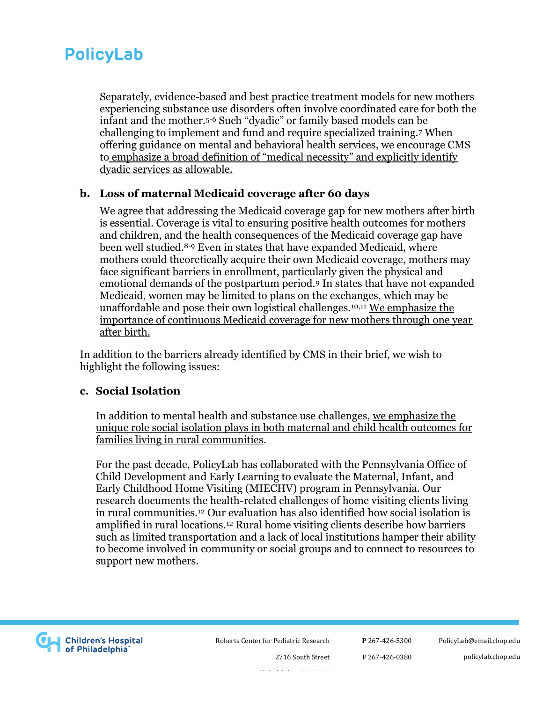Separately, evidence-based and best practice treatment models for new mothers experiencing substance use disorders often involve coordinated care for both the infant and the mother.5-6 Such "dyadic" or family based models can be challenging to implement and fund and require specialized training.<sup>7</sup> When offering guidance on mental and behavioral health services, we encourage CMS to emphasize a broad definition of "medical necessity" and explicitly identify dyadic services as allowable.

### **b. Loss of maternal Medicaid coverage after 60 days**

We agree that addressing the Medicaid coverage gap for new mothers after birth is essential. Coverage is vital to ensuring positive health outcomes for mothers and children, and the health consequences of the Medicaid coverage gap have been well studied.8-9 Even in states that have expanded Medicaid, where mothers could theoretically acquire their own Medicaid coverage, mothers may face significant barriers in enrollment, particularly given the physical and emotional demands of the postpartum period.<sup>9</sup> In states that have not expanded Medicaid, women may be limited to plans on the exchanges, which may be unaffordable and pose their own logistical challenges.10,11 We emphasize the importance of continuous Medicaid coverage for new mothers through one year after birth.

In addition to the barriers already identified by CMS in their brief, we wish to highlight the following issues:

#### **c. Social Isolation**

In addition to mental health and substance use challenges, we emphasize the unique role social isolation plays in both maternal and child health outcomes for families living in rural communities.

For the past decade, PolicyLab has collaborated with the Pennsylvania Office of Child Development and Early Learning to evaluate the Maternal, Infant, and Early Childhood Home Visiting (MIECHV) program in Pennsylvania. Our research documents the health-related challenges of home visiting clients living in rural communities.<sup>12</sup> Our evaluation has also identified how social isolation is amplified in rural locations.<sup>12</sup> Rural home visiting clients describe how barriers such as limited transportation and a lack of local institutions hamper their ability to become involved in community or social groups and to connect to resources to support new mothers.



Roberts Center for Pediatric Research

**P** 267-426-5300

**F** 267-426-0380

policylab.chop.edu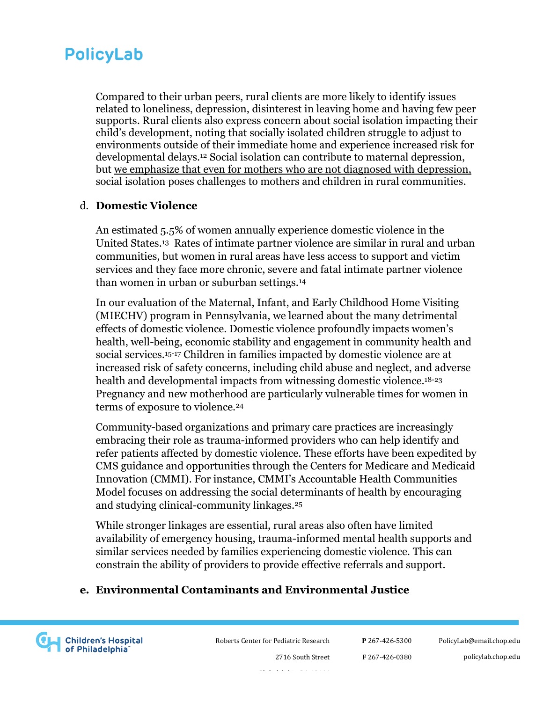Compared to their urban peers, rural clients are more likely to identify issues related to loneliness, depression, disinterest in leaving home and having few peer supports. Rural clients also express concern about social isolation impacting their child's development, noting that socially isolated children struggle to adjust to environments outside of their immediate home and experience increased risk for developmental delays.<sup>12</sup> Social isolation can contribute to maternal depression, but we emphasize that even for mothers who are not diagnosed with depression, social isolation poses challenges to mothers and children in rural communities.

### d. **Domestic Violence**

An estimated 5.5% of women annually experience domestic violence in the United States.<sup>13</sup> Rates of intimate partner violence are similar in rural and urban communities, but women in rural areas have less access to support and victim services and they face more chronic, severe and fatal intimate partner violence than women in urban or suburban settings.<sup>14</sup>

In our evaluation of the Maternal, Infant, and Early Childhood Home Visiting (MIECHV) program in Pennsylvania, we learned about the many detrimental effects of domestic violence. Domestic violence profoundly impacts women's health, well-being, economic stability and engagement in community health and social services.15-17 Children in families impacted by domestic violence are at increased risk of safety concerns, including child abuse and neglect, and adverse health and developmental impacts from witnessing domestic violence.18-23 Pregnancy and new motherhood are particularly vulnerable times for women in terms of exposure to violence.<sup>24</sup>

Community-based organizations and primary care practices are increasingly embracing their role as trauma-informed providers who can help identify and refer patients affected by domestic violence. These efforts have been expedited by CMS guidance and opportunities through the Centers for Medicare and Medicaid Innovation (CMMI). For instance, CMMI's Accountable Health Communities Model focuses on addressing the social determinants of health by encouraging and studying clinical-community linkages.<sup>25</sup>

While stronger linkages are essential, rural areas also often have limited availability of emergency housing, trauma-informed mental health supports and similar services needed by families experiencing domestic violence. This can constrain the ability of providers to provide effective referrals and support.

## **e. Environmental Contaminants and Environmental Justice**



Roberts Center for Pediatric Research

**P** 267-426-5300

**F** 267-426-0380

[PolicyLab@email.chop.edu](mailto:PolicyLab@email.chop.edu) policylab.chop.edu

Philadelphia, PA 19146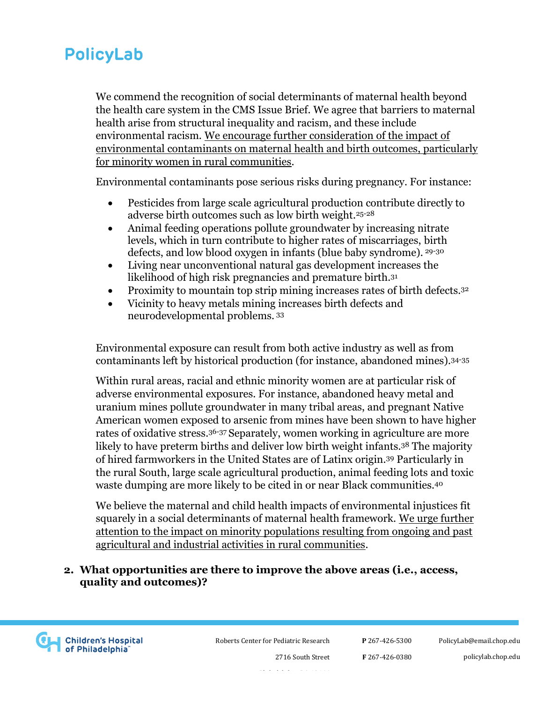We commend the recognition of social determinants of maternal health beyond the health care system in the CMS Issue Brief. We agree that barriers to maternal health arise from structural inequality and racism, and these include environmental racism. We encourage further consideration of the impact of environmental contaminants on maternal health and birth outcomes, particularly for minority women in rural communities.

Environmental contaminants pose serious risks during pregnancy. For instance:

- Pesticides from large scale agricultural production contribute directly to adverse birth outcomes such as low birth weight.25-28
- Animal feeding operations pollute groundwater by increasing nitrate levels, which in turn contribute to higher rates of miscarriages, birth defects, and low blood oxygen in infants (blue baby syndrome). 29-30
- Living near unconventional natural gas development increases the likelihood of high risk pregnancies and premature birth.<sup>31</sup>
- Proximity to mountain top strip mining increases rates of birth defects.<sup>32</sup>
- Vicinity to heavy metals mining increases birth defects and neurodevelopmental problems. <sup>33</sup>

Environmental exposure can result from both active industry as well as from contaminants left by historical production (for instance, abandoned mines).34-35

Within rural areas, racial and ethnic minority women are at particular risk of adverse environmental exposures. For instance, abandoned heavy metal and uranium mines pollute groundwater in many tribal areas, and pregnant Native American women exposed to arsenic from mines have been shown to have higher rates of oxidative stress.36-37 Separately, women working in agriculture are more likely to have preterm births and deliver low birth weight infants.<sup>38</sup> The majority of hired farmworkers in the United States are of Latinx origin.<sup>39</sup> Particularly in the rural South, large scale agricultural production, animal feeding lots and toxic waste dumping are more likely to be cited in or near Black communities.<sup>40</sup>

We believe the maternal and child health impacts of environmental injustices fit squarely in a social determinants of maternal health framework. We urge further attention to the impact on minority populations resulting from ongoing and past agricultural and industrial activities in rural communities.

## **2. What opportunities are there to improve the above areas (i.e., access, quality and outcomes)?**



Roberts Center for Pediatric Research

2716 South Street Philadelphia, PA 19146

**P** 267-426-5300 **F** 267-426-0380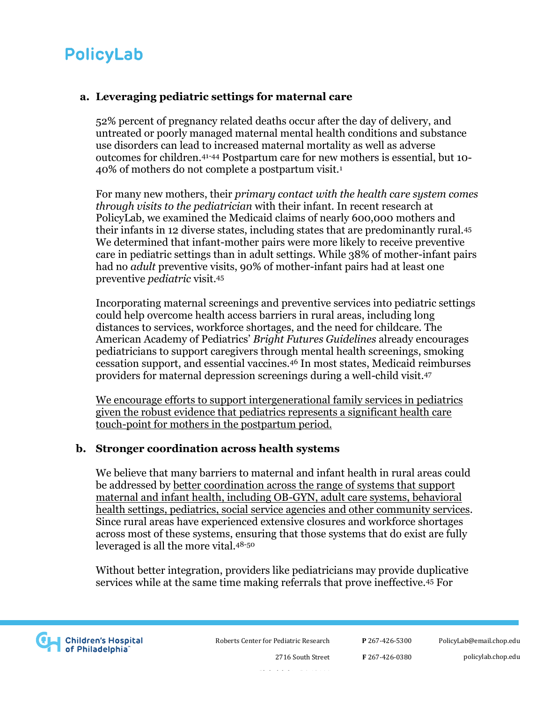## **a. Leveraging pediatric settings for maternal care**

52% percent of pregnancy related deaths occur after the day of delivery, and untreated or poorly managed maternal mental health conditions and substance use disorders can lead to increased maternal mortality as well as adverse outcomes for children.41-44 Postpartum care for new mothers is essential, but 10- 40% of mothers do not complete a postpartum visit.<sup>1</sup>

For many new mothers, their *primary contact with the health care system comes through visits to the pediatrician* with their infant. In recent research at PolicyLab, we examined the Medicaid claims of nearly 600,000 mothers and their infants in 12 diverse states, including states that are predominantly rural.<sup>45</sup> We determined that infant-mother pairs were more likely to receive preventive care in pediatric settings than in adult settings. While 38% of mother-infant pairs had no *adult* preventive visits, 90% of mother-infant pairs had at least one preventive *pediatric* visit.<sup>45</sup>

Incorporating maternal screenings and preventive services into pediatric settings could help overcome health access barriers in rural areas, including long distances to services, workforce shortages, and the need for childcare. The American Academy of Pediatrics' *Bright Futures Guidelines* already encourages pediatricians to support caregivers through mental health screenings, smoking cessation support, and essential vaccines.<sup>46</sup> In most states, Medicaid reimburses providers for maternal depression screenings during a well-child visit.<sup>47</sup>

We encourage efforts to support intergenerational family services in pediatrics given the robust evidence that pediatrics represents a significant health care touch-point for mothers in the postpartum period.

#### **b. Stronger coordination across health systems**

We believe that many barriers to maternal and infant health in rural areas could be addressed by better coordination across the range of systems that support maternal and infant health, including OB-GYN, adult care systems, behavioral health settings, pediatrics, social service agencies and other community services. Since rural areas have experienced extensive closures and workforce shortages across most of these systems, ensuring that those systems that do exist are fully leveraged is all the more vital.48-50

Without better integration, providers like pediatricians may provide duplicative services while at the same time making referrals that prove ineffective.<sup>45</sup> For



Roberts Center for Pediatric Research

**P** 267-426-5300

Philadelphia, PA 19146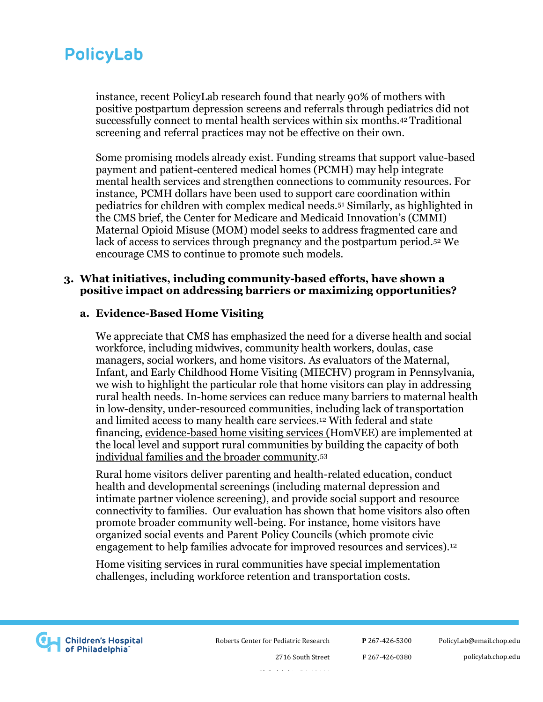instance, recent PolicyLab research found that nearly 90% of mothers with positive postpartum depression screens and referrals through pediatrics did not successfully connect to mental health services within six months.42 Traditional screening and referral practices may not be effective on their own.

Some promising models already exist. Funding streams that support value-based payment and patient-centered medical homes (PCMH) may help integrate mental health services and strengthen connections to community resources. For instance, PCMH dollars have been used to support care coordination within pediatrics for children with complex medical needs.<sup>51</sup> Similarly, as highlighted in the CMS brief, the Center for Medicare and Medicaid Innovation's (CMMI) Maternal Opioid Misuse (MOM) model seeks to address fragmented care and lack of access to services through pregnancy and the postpartum period.<sup>52</sup> We encourage CMS to continue to promote such models.

#### **3. What initiatives, including community-based efforts, have shown a positive impact on addressing barriers or maximizing opportunities?**

#### **a. Evidence-Based Home Visiting**

We appreciate that CMS has emphasized the need for a diverse health and social workforce, including midwives, community health workers, doulas, case managers, social workers, and home visitors. As evaluators of the Maternal, Infant, and Early Childhood Home Visiting (MIECHV) program in Pennsylvania, we wish to highlight the particular role that home visitors can play in addressing rural health needs. In-home services can reduce many barriers to maternal health in low-density, under-resourced communities, including lack of transportation and limited access to many health care services.<sup>12</sup> With federal and state financing, evidence-based home visiting services (HomVEE) are implemented at the local level and support rural communities by building the capacity of both individual families and the broader community. 53

Rural home visitors deliver parenting and health-related education, conduct health and developmental screenings (including maternal depression and intimate partner violence screening), and provide social support and resource connectivity to families. Our evaluation has shown that home visitors also often promote broader community well-being. For instance, home visitors have organized social events and Parent Policy Councils (which promote civic engagement to help families advocate for improved resources and services).<sup>12</sup>

Home visiting services in rural communities have special implementation challenges, including workforce retention and transportation costs.



Roberts Center for Pediatric Research

**P** 267-426-5300 **F** 267-426-0380 [PolicyLab@email.chop.edu](mailto:PolicyLab@email.chop.edu)

policylab.chop.edu

2716 South Street Philadelphia, PA 19146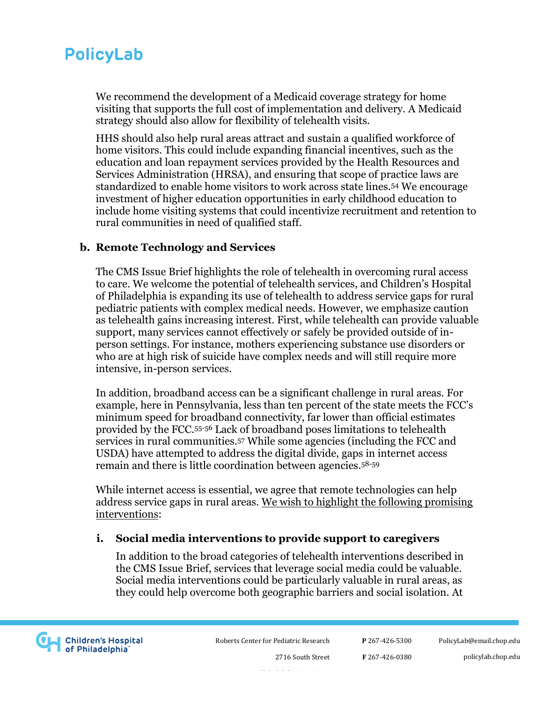We recommend the development of a Medicaid coverage strategy for home visiting that supports the full cost of implementation and delivery. A Medicaid strategy should also allow for flexibility of telehealth visits.

HHS should also help rural areas attract and sustain a qualified workforce of home visitors. This could include expanding financial incentives, such as the education and loan repayment services provided by the Health Resources and Services Administration (HRSA), and ensuring that scope of practice laws are standardized to enable home visitors to work across state lines.<sup>54</sup> We encourage investment of higher education opportunities in early childhood education to include home visiting systems that could incentivize recruitment and retention to rural communities in need of qualified staff.

## **b. Remote Technology and Services**

The CMS Issue Brief highlights the role of telehealth in overcoming rural access to care. We welcome the potential of telehealth services, and Children's Hospital of Philadelphia is expanding its use of telehealth to address service gaps for rural pediatric patients with complex medical needs. However, we emphasize caution as telehealth gains increasing interest. First, while telehealth can provide valuable support, many services cannot effectively or safely be provided outside of inperson settings. For instance, mothers experiencing substance use disorders or who are at high risk of suicide have complex needs and will still require more intensive, in-person services.

In addition, broadband access can be a significant challenge in rural areas. For example, here in Pennsylvania, less than ten percent of the state meets the FCC's minimum speed for broadband connectivity, far lower than official estimates provided by the FCC.55-56 Lack of broadband poses limitations to telehealth services in rural communities.<sup>57</sup> While some agencies (including the FCC and USDA) have attempted to address the digital divide, gaps in internet access remain and there is little coordination between agencies.58-59

While internet access is essential, we agree that remote technologies can help address service gaps in rural areas. We wish to highlight the following promising interventions:

#### **i. Social media interventions to provide support to caregivers**

In addition to the broad categories of telehealth interventions described in the CMS Issue Brief, services that leverage social media could be valuable. Social media interventions could be particularly valuable in rural areas, as they could help overcome both geographic barriers and social isolation. At



Roberts Center for Pediatric Research

**P** 267-426-5300

[PolicyLab@email.chop.edu](mailto:PolicyLab@email.chop.edu)

policylab.chop.edu

2716 South Street Philadelphia, PA 19146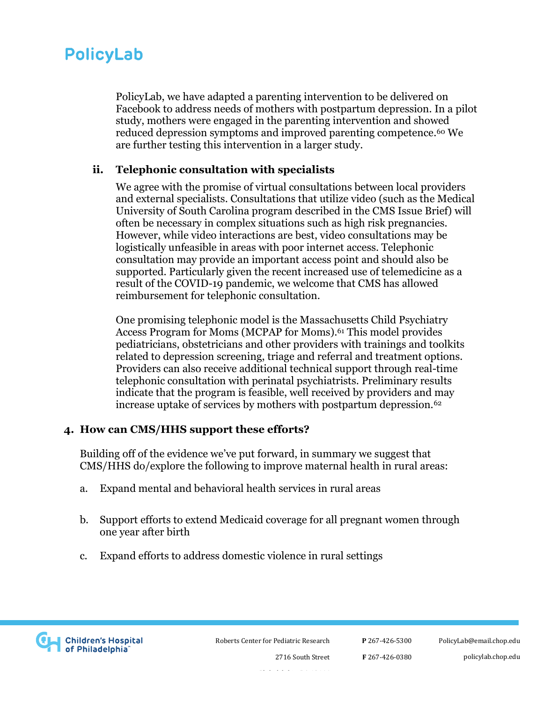PolicyLab, we have adapted a parenting intervention to be delivered on Facebook to address needs of mothers with postpartum depression. In a pilot study, mothers were engaged in the parenting intervention and showed reduced depression symptoms and improved parenting competence.<sup>60</sup> We are further testing this intervention in a larger study.

### **ii. Telephonic consultation with specialists**

We agree with the promise of virtual consultations between local providers and external specialists. Consultations that utilize video (such as the Medical University of South Carolina program described in the CMS Issue Brief) will often be necessary in complex situations such as high risk pregnancies. However, while video interactions are best, video consultations may be logistically unfeasible in areas with poor internet access. Telephonic consultation may provide an important access point and should also be supported. Particularly given the recent increased use of telemedicine as a result of the COVID-19 pandemic, we welcome that CMS has allowed reimbursement for telephonic consultation.

One promising telephonic model is the Massachusetts Child Psychiatry Access Program for Moms (MCPAP for Moms).<sup>61</sup> This model provides pediatricians, obstetricians and other providers with trainings and toolkits related to depression screening, triage and referral and treatment options. Providers can also receive additional technical support through real-time telephonic consultation with perinatal psychiatrists. Preliminary results indicate that the program is feasible, well received by providers and may increase uptake of services by mothers with postpartum depression.<sup>62</sup>

## **4. How can CMS/HHS support these efforts?**

Building off of the evidence we've put forward, in summary we suggest that CMS/HHS do/explore the following to improve maternal health in rural areas:

- a. Expand mental and behavioral health services in rural areas
- b. Support efforts to extend Medicaid coverage for all pregnant women through one year after birth
- c. Expand efforts to address domestic violence in rural settings



Roberts Center for Pediatric Research

**P** 267-426-5300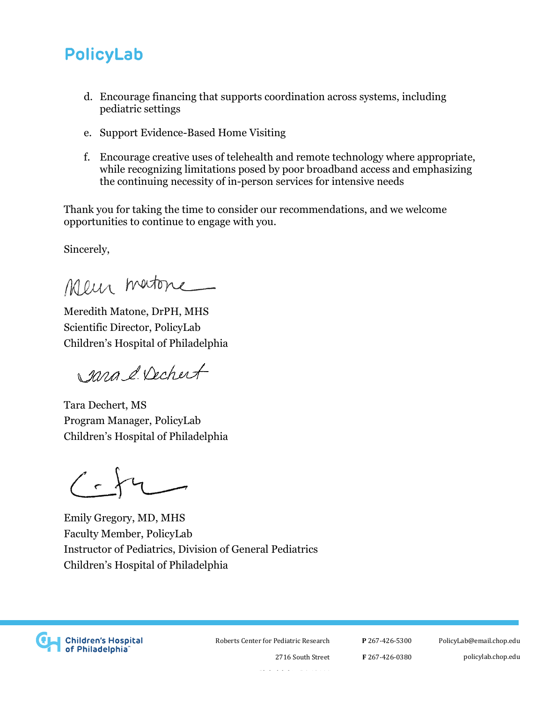- d. Encourage financing that supports coordination across systems, including pediatric settings
- e. Support Evidence-Based Home Visiting
- f. Encourage creative uses of telehealth and remote technology where appropriate, while recognizing limitations posed by poor broadband access and emphasizing the continuing necessity of in-person services for intensive needs

Thank you for taking the time to consider our recommendations, and we welcome opportunities to continue to engage with you.

Sincerely,

Meur matone

Meredith Matone, DrPH, MHS Scientific Director, PolicyLab Children's Hospital of Philadelphia

sara & Dechert

Tara Dechert, MS Program Manager, PolicyLab Children's Hospital of Philadelphia

 $\langle \cdot \rangle$ 

Emily Gregory, MD, MHS Faculty Member, PolicyLab Instructor of Pediatrics, Division of General Pediatrics Children's Hospital of Philadelphia



Roberts Center for Pediatric Research

**P** 267-426-5300 **F** 267-426-0380 [PolicyLab@email.chop.edu](mailto:PolicyLab@email.chop.edu) policylab.chop.edu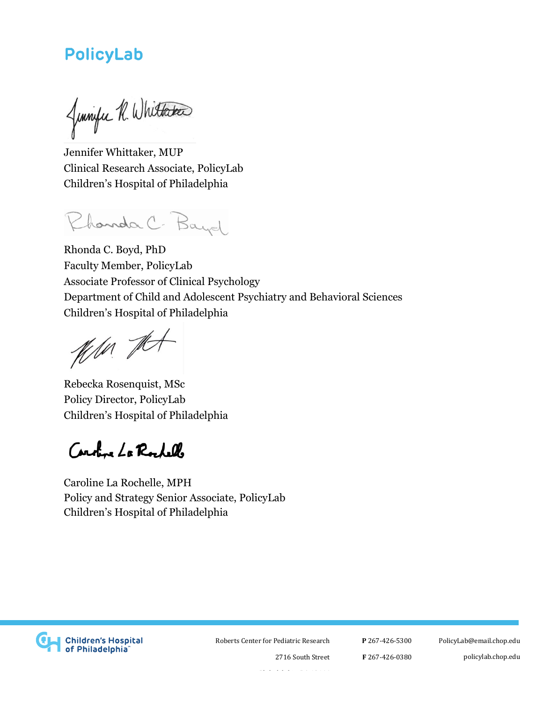Jumpe R. Whittaker

Jennifer Whittaker, MUP Clinical Research Associate, PolicyLab Children's Hospital of Philadelphia

Chanda C. Bayd

Rhonda C. Boyd, PhD Faculty Member, PolicyLab Associate Professor of Clinical Psychology Department of Child and Adolescent Psychiatry and Behavioral Sciences Children's Hospital of Philadelphia

With the

Rebecka Rosenquist, MSc Policy Director, PolicyLab Children's Hospital of Philadelphia

Caroline La Rochello

Caroline La Rochelle, MPH Policy and Strategy Senior Associate, PolicyLab Children's Hospital of Philadelphia



Roberts Center for Pediatric Research

**P** 267-426-5300 **F** 267-426-0380 [PolicyLab@email.chop.edu](mailto:PolicyLab@email.chop.edu) policylab.chop.edu

Philadelphia, PA 19146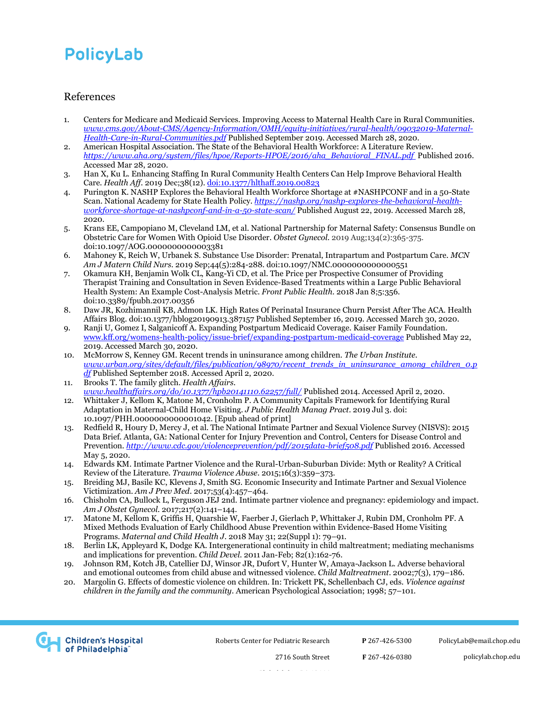#### References

- 1. Centers for Medicare and Medicaid Services. Improving Access to Maternal Health Care in Rural Communities. *[www.cms.gov/About-CMS/Agency-Information/OMH/equity-initiatives/rural-health/09032019-Maternal-](file:///C:/Users/rosenquisr/AppData/Local/Microsoft/Windows/INetCache/Content.Outlook/43ETDZSZ/www.cms.gov/About-CMS/Agency-Information/OMH/equity-initiatives/rural-health/09032019-Maternal-Health-Care-in-Rural-Communities.pdf)[Health-Care-in-Rural-Communities.pdf](file:///C:/Users/rosenquisr/AppData/Local/Microsoft/Windows/INetCache/Content.Outlook/43ETDZSZ/www.cms.gov/About-CMS/Agency-Information/OMH/equity-initiatives/rural-health/09032019-Maternal-Health-Care-in-Rural-Communities.pdf)* Published September 2019. Accessed March 28, 2020.
- 2. American Hospital Association. The State of the Behavioral Health Workforce: A Literature Review. *[https://www.aha.org/system/files/hpoe/Reports-HPOE/2016/aha\\_Behavioral\\_FINAL.pdf](https://www.aha.org/system/files/hpoe/Reports-HPOE/2016/aha_Behavioral_FINAL.pdf)* Published 2016. Accessed Mar 28, 2020.
- 3. Han X, Ku L. Enhancing Staffing In Rural Community Health Centers Can Help Improve Behavioral Health Care. *Health Aff*. 2019 Dec;38(12)[. doi:10.1377/hlthaff.2019.00823](https://doi.org/10.1377/hlthaff.2019.00823)
- 4. Purington K[. NASHP Explores the Behavioral Health Workforce Shortage at #NASHPCONF and in a 50-State](https://nashp.org/nashp-explores-the-behavioral-health-workforce-shortage-at-nashpconf-and-in-a-50-state-scan/)  [Scan.](https://nashp.org/nashp-explores-the-behavioral-health-workforce-shortage-at-nashpconf-and-in-a-50-state-scan/) National Academy for State Health Policy. *[https://nashp.org/nashp-explores-the-behavioral-health](https://nashp.org/nashp-explores-the-behavioral-health-workforce-shortage-at-nashpconf-and-in-a-50-state-scan/)[workforce-shortage-at-nashpconf-and-in-a-50-state-scan/](https://nashp.org/nashp-explores-the-behavioral-health-workforce-shortage-at-nashpconf-and-in-a-50-state-scan/)* Published August 22, 2019. Accessed March 28, 2020.
- 5. Krans EE, Campopiano M, Cleveland LM, et al. National Partnership for Maternal Safety: Consensus Bundle on Obstetric Care for Women With Opioid Use Disorder. *Obstet Gynecol*. 2019 Aug;134(2):365-375. doi:10.1097/AOG.0000000000003381
- 6. Mahoney K, Reich W, Urbanek S. Substance Use Disorder: Prenatal, Intrapartum and Postpartum Care. *MCN Am J Matern Child Nurs*. 2019 Sep;44(5):284-288. doi:10.1097/NMC.0000000000000551
- 7. Okamura KH, Benjamin Wolk CL, Kang-Yi CD, et al. The Price per Prospective Consumer of Providing Therapist Training and Consultation in Seven Evidence-Based Treatments within a Large Public Behavioral Health System: An Example Cost-Analysis Metric. *Front Public Health*. 2018 Jan 8;5:356. doi:10.3389/fpubh.2017.00356
- 8. [Daw](https://www.healthaffairs.org/do/10.1377/hauthor20190913.465283/full/) JR, [Kozhimannil](https://www.healthaffairs.org/do/10.1377/hauthor20140109.643428/full/) KB, [Admon](https://www.healthaffairs.org/do/10.1377/hauthor20190625.209569/full/) LK. High Rates Of Perinatal Insurance Churn Persist After The ACA. Health Affairs Blog. doi:10.1377/hblog20190913.387157 Published September 16, 2019. Accessed March 30, 2020.
- 9. Ranji U, Gomez I, Salganicoff A. Expanding Postpartum Medicaid Coverage. Kaiser Family Foundation. [www.kff.org/womens-health-policy/issue-brief/expanding-postpartum-medicaid-coverage](http://www.kff.org/womens-health-policy/issue-brief/expanding-postpartum-medicaid-coverage/) Published May 22, 2019. Accessed March 30, 2020.
- 10. McMorrow S, Kenney GM. Recent trends in uninsurance among children. *The Urban Institute*. *[www.urban.org/sites/default/files/publication/98970/recent\\_trends\\_in\\_uninsurance\\_among\\_children\\_0.p](http://www.urban.org/sites/default/files/publication/98970/recent_trends_in_uninsurance_among_children_0.pdf) [df](http://www.urban.org/sites/default/files/publication/98970/recent_trends_in_uninsurance_among_children_0.pdf)* Published September 2018. Accessed April 2, 2020.
- 11. Brooks T. The family glitch. *Health Affairs*. *[www.healthaffairs.org/do/10.1377/hpb20141110.62257/full/](http://www.healthaffairs.org/do/10.1377/hpb20141110.62257/full/)* Published 2014. Accessed April 2, 2020.
- 12. Whittaker J, Kellom K, Matone M, Cronholm P. A Community Capitals Framework for Identifying Rural Adaptation in Maternal-Child Home Visiting. *J Public Health Manag Pract*. 2019 Jul 3. doi: 10.1097/PHH.0000000000001042. [Epub ahead of print]
- 13. Redfield R, Houry D, Mercy J, et al. The National Intimate Partner and Sexual Violence Survey (NISVS): 2015 Data Brief. Atlanta, GA: National Center for Injury Prevention and Control, Centers for Disease Control and Prevention. *<http://www.cdc.gov/violenceprevention/pdf/2015data-brief508.pdf>* Published 2016. Accessed May 5, 2020.
- 14. Edwards KM. Intimate Partner Violence and the Rural-Urban-Suburban Divide: Myth or Reality? A Critical Review of the Literature. *Trauma Violence Abuse*. 2015;16(3):359–373.
- 15. Breiding MJ, Basile KC, Klevens J, Smith SG. Economic Insecurity and Intimate Partner and Sexual Violence Victimization. *Am J Prev Med*. 2017;53(4):457–464.
- 16. Chisholm CA, Bullock L, Ferguson JEJ 2nd. Intimate partner violence and pregnancy: epidemiology and impact. *Am J Obstet Gynecol*. 2017;217(2):141–144.
- 17. Matone M, Kellom K, Griffis H, Quarshie W, Faerber J, Gierlach P, Whittaker J, Rubin DM, Cronholm PF. A Mixed Methods Evaluation of Early Childhood Abuse Prevention within Evidence-Based Home Visiting Programs. *Maternal and Child Health J*. 2018 May 31; 22(Suppl 1): 79–91.
- 18. Berlin LK, Appleyard K, Dodge KA. Intergenerational continuity in child maltreatment; mediating mechanisms and implications for prevention. *Child Devel*. 2011 Jan-Feb; 82(1):162-76.
- 19. Johnson RM, Kotch JB, Catellier DJ, Winsor JR, Dufort V, Hunter W, Amaya-Jackson L. Adverse behavioral and emotional outcomes from child abuse and witnessed violence. *Child Maltreatment*. 2002;7(3), 179–186.
- 20. Margolin G. Effects of domestic violence on children. In: Trickett PK, Schellenbach CJ, eds. *Violence against children in the family and the community*. American Psychological Association; 1998; 57–101.



Roberts Center for Pediatric Research

**P** 267-426-5300

[PolicyLab@email.chop.edu](mailto:PolicyLab@email.chop.edu)

**F** 267-426-0380

Philadelphia, PA 19146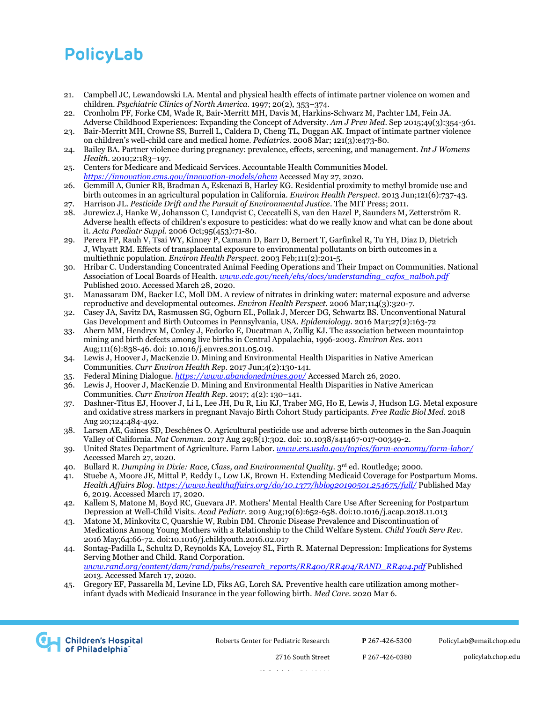- 21. Campbell JC, Lewandowski LA. Mental and physical health effects of intimate partner violence on women and children. *Psychiatric Clinics of North America*. 1997; 20(2), 353–374.
- 22. Cronholm PF, Forke CM, Wade R, Bair-Merritt MH, Davis M, Harkins-Schwarz M, Pachter LM, Fein JA. Adverse Childhood Experiences: Expanding the Concept of Adversity. *Am J Prev Med*. Sep 2015;49(3):354-361.
- 23. Bair-Merritt MH, Crowne SS, Burrell L, Caldera D, Cheng TL, Duggan AK. Impact of intimate partner violence on children's well-child care and medical home. *Pediatrics.* 2008 Mar; 121(3):e473-80.
- 24. Bailey BA. Partner violence during pregnancy: prevalence, effects, screening, and management. *Int J Womens Health*. 2010;2:183–197.
- 25. Centers for Medicare and Medicaid Services. Accountable Health Communities Model. *<https://innovation.cms.gov/innovation-models/ahcm>* Accessed May 27, 2020.
- 26. [Gemmill A,](https://www.ncbi.nlm.nih.gov/pubmed/?term=Gemmill%20A%5BAuthor%5D&cauthor=true&cauthor_uid=23603811) [Gunier RB,](https://www.ncbi.nlm.nih.gov/pubmed/?term=Gunier%20RB%5BAuthor%5D&cauthor=true&cauthor_uid=23603811) [Bradman A,](https://www.ncbi.nlm.nih.gov/pubmed/?term=Bradman%20A%5BAuthor%5D&cauthor=true&cauthor_uid=23603811) [Eskenazi B,](https://www.ncbi.nlm.nih.gov/pubmed/?term=Eskenazi%20B%5BAuthor%5D&cauthor=true&cauthor_uid=23603811) [Harley KG.](https://www.ncbi.nlm.nih.gov/pubmed/?term=Harley%20KG%5BAuthor%5D&cauthor=true&cauthor_uid=23603811) Residential proximity to methyl bromide use and birth outcomes in an agricultural population in California. *[Environ Health Perspect](https://www.ncbi.nlm.nih.gov/pubmed/23603811)*. 2013 Jun;121(6):737-43.
- 27. Harrison JL. *Pesticide Drift and the Pursuit of Environmental Justice*. The MIT Press; 2011.
- 28. Jurewicz J, Hanke W, Johansson C, Lundqvist C, Ceccatelli S, van den Hazel P, Saunders M, Zetterström R. Adverse health effects of children's exposure to pesticides: what do we really know and what can be done about it. *Acta Paediatr Suppl*. 2006 Oct;95(453):71-80.
- 29. Perera FP, Rauh V, Tsai WY, Kinney P, Camann D, Barr D, Bernert T, Garfinkel R, Tu YH, Diaz D, Dietrich J, Whyatt RM. Effects of transplacental exposure to environmental pollutants on birth outcomes in a multiethnic population. *Environ Health Perspect*. 2003 Feb;111(2):201-5.
- 30. Hribar C. Understanding Concentrated Animal Feeding Operations and Their Impact on Communities. National Association of Local Boards of Health. *[www.cdc.gov/nceh/ehs/docs/understanding\\_cafos\\_nalboh.pdf](http://www.cdc.gov/nceh/ehs/docs/understanding_cafos_nalboh.pdf)* Published 2010. Accessed March 28, 2020.
- 31. Manassaram DM, Backer LC, Moll DM. A review of nitrates in drinking water: maternal exposure and adverse reproductive and developmental outcomes. *Environ Health Perspect*. 2006 Mar;114(3):320-7.
- 32. Casey JA, Savitz DA, Rasmussen SG, Ogburn EL, Pollak J, Mercer DG, Schwartz BS. Unconventional Natural Gas Development and Birth Outcomes in Pennsylvania, USA. *Epidemiology*. 2016 Mar;27(2):163-72
- 33. Ahern MM, Hendryx M, Conley J, Fedorko E, Ducatman A, Zullig KJ. The association between mountaintop mining and birth defects among live births in Central Appalachia, 1996-2003. *Environ Res*. 2011 Aug;111(6):838-46. doi: 10.1016/j.envres.2011.05.019.
- 34. Lewis J, Hoover J, MacKenzie D. Mining and Environmental Health Disparities in Native American Communities. *Curr Environ Health Re*p. 2017 Jun;4(2):130-141.
- 35. Federal Mining Dialogue. *<https://www.abandonedmines.gov/>* Accessed March 26, 2020.
- 36. Lewis J, Hoover J, MacKenzie D. Mining and Environmental Health Disparities in Native American Communities. *Curr Environ Health Rep*. 2017; 4(2): 130–141.
- 37. Dashner-Titus EJ, Hoover J, Li L, Lee JH, Du R, Liu KJ, Traber MG, Ho E, Lewis J, Hudson LG. Metal exposure and oxidative stress markers in pregnant Navajo Birth Cohort Study participants. *Free Radic Biol Med*. 2018 Aug 20;124:484-492.
- 38. Larsen AE, Gaines SD, Deschênes O. Agricultural pesticide use and adverse birth outcomes in the San Joaquin Valley of California. *Nat Commun*. 2017 Aug 29;8(1):302. doi: 10.1038/s41467-017-00349-2.
- 39. United States Department of Agriculture. Farm Labor. *[www.ers.usda.gov/topics/farm-economy/farm-labor/](http://www.ers.usda.gov/topics/farm-economy/farm-labor/)* Accessed March 27, 2020.
- 40. Bullard R. *Dumping in Dixie: Race, Class, and Environmental Quality*. 3rd ed. Routledge; 2000.
- 41. Stuebe A, Moore JE, Mittal P, Reddy L, Low LK, Brown H. Extending Medicaid Coverage for Postpartum Moms. *Health Affairs Blog.<https://www.healthaffairs.org/do/10.1377/hblog20190501.254675/full/>* Published May 6, 2019. Accessed March 17, 2020.
- 42. [Kallem S,](https://www.ncbi.nlm.nih.gov/pubmed/?term=Kallem%20S%5BAuthor%5D&cauthor=true&cauthor_uid=30496869) [Matone M,](https://www.ncbi.nlm.nih.gov/pubmed/?term=Matone%20M%5BAuthor%5D&cauthor=true&cauthor_uid=30496869) [Boyd RC,](https://www.ncbi.nlm.nih.gov/pubmed/?term=Boyd%20RC%5BAuthor%5D&cauthor=true&cauthor_uid=30496869) [Guevara JP.](https://www.ncbi.nlm.nih.gov/pubmed/?term=Guevara%20JP%5BAuthor%5D&cauthor=true&cauthor_uid=30496869) Mothers' Mental Health Care Use After Screening for Postpartum Depression at Well-Child Visits. *[Acad Pediatr](https://www.ncbi.nlm.nih.gov/pubmed/30496869)*. 2019 Aug;19(6):652-658. doi:10.1016/j.acap.2018.11.013
- 43. Matone M, Minkovitz C, Quarshie W, Rubin DM. Chronic Disease Prevalence and Discontinuation of Medications Among Young Mothers with a Relationship to the Child Welfare System. *Child Youth Serv Rev*. 2016 May;64:66-72. doi:10.1016/j.childyouth.2016.02.017
- 44. Sontag-Padilla L, Schultz D, Reynolds KA, Lovejoy SL, Firth R. Maternal Depression: Implications for Systems Serving Mother and Child. Rand Corporation. *[www.rand.org/content/dam/rand/pubs/research\\_reports/RR400/RR404/RAND\\_RR404.pdf](http://www.rand.org/content/dam/rand/pubs/research_reports/RR400/RR404/RAND_RR404.pdf)* Published 2013. Accessed March 17, 2020.
- 45. Gregory EF, Passarella M, Levine LD, Fiks AG, Lorch SA. Preventive health care utilization among motherinfant dyads with Medicaid Insurance in the year following birth. *Med Care*. 2020 Mar 6.



Roberts Center for Pediatric Research

**P** 267-426-5300

[PolicyLab@email.chop.edu](mailto:PolicyLab@email.chop.edu)

policylab.chop.edu

Philadelphia, PA 19146